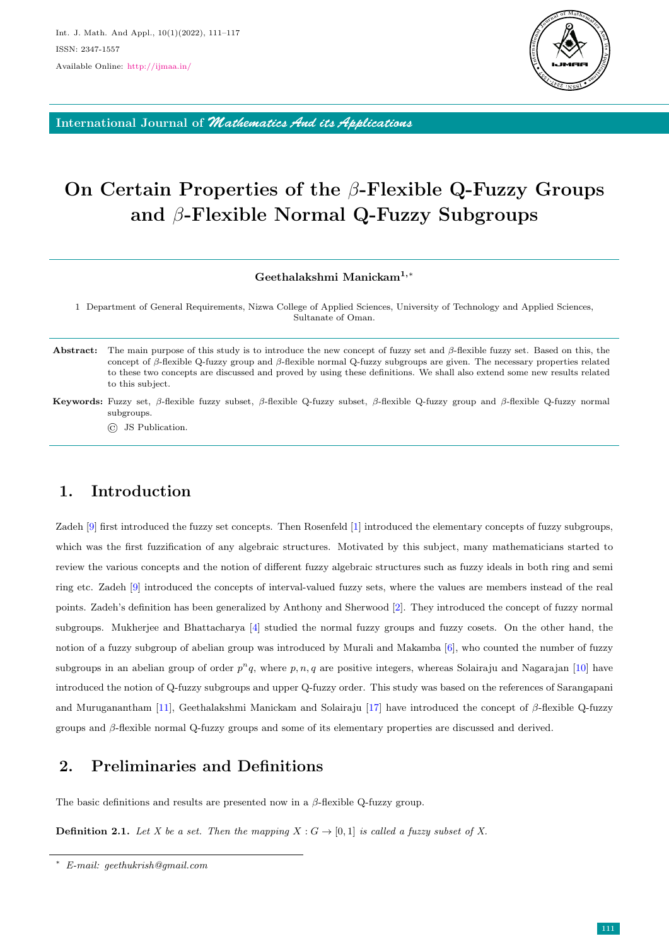

International Journal of *Mathematics And its Applications*

# On Certain Properties of the β-Flexible Q-Fuzzy Groups and β-Flexible Normal Q-Fuzzy Subgroups

#### Geethalakshmi Manickam1,<sup>∗</sup>

1 Department of General Requirements, Nizwa College of Applied Sciences, University of Technology and Applied Sciences, Sultanate of Oman.

- Abstract: The main purpose of this study is to introduce the new concept of fuzzy set and  $\beta$ -flexible fuzzy set. Based on this, the concept of β-flexible Q-fuzzy group and β-flexible normal Q-fuzzy subgroups are given. The necessary properties related to these two concepts are discussed and proved by using these definitions. We shall also extend some new results related to this subject.
- Keywords: Fuzzy set, β-flexible fuzzy subset, β-flexible Q-fuzzy subset, β-flexible Q-fuzzy group and β-flexible Q-fuzzy normal subgroups.

© JS Publication.

# 1. Introduction

Zadeh [\[9\]](#page-6-0) first introduced the fuzzy set concepts. Then Rosenfeld [\[1\]](#page-5-0) introduced the elementary concepts of fuzzy subgroups, which was the first fuzzification of any algebraic structures. Motivated by this subject, many mathematicians started to review the various concepts and the notion of different fuzzy algebraic structures such as fuzzy ideals in both ring and semi ring etc. Zadeh [\[9\]](#page-6-0) introduced the concepts of interval-valued fuzzy sets, where the values are members instead of the real points. Zadeh's definition has been generalized by Anthony and Sherwood [\[2\]](#page-5-1). They introduced the concept of fuzzy normal subgroups. Mukherjee and Bhattacharya [\[4\]](#page-5-2) studied the normal fuzzy groups and fuzzy cosets. On the other hand, the notion of a fuzzy subgroup of abelian group was introduced by Murali and Makamba [\[6\]](#page-6-1), who counted the number of fuzzy subgroups in an abelian group of order  $p^n q$ , where p, n, q are positive integers, whereas Solairaju and Nagarajan [\[10\]](#page-6-2) have introduced the notion of Q-fuzzy subgroups and upper Q-fuzzy order. This study was based on the references of Sarangapani and Muruganantham [\[11\]](#page-6-3), Geethalakshmi Manickam and Solairaju [\[17\]](#page-6-4) have introduced the concept of  $\beta$ -flexible Q-fuzzy groups and β-flexible normal Q-fuzzy groups and some of its elementary properties are discussed and derived.

# 2. Preliminaries and Definitions

The basic definitions and results are presented now in a  $\beta$ -flexible Q-fuzzy group.

**Definition 2.1.** Let X be a set. Then the mapping  $X : G \to [0,1]$  is called a fuzzy subset of X.

<sup>∗</sup> E-mail: geethukrish@gmail.com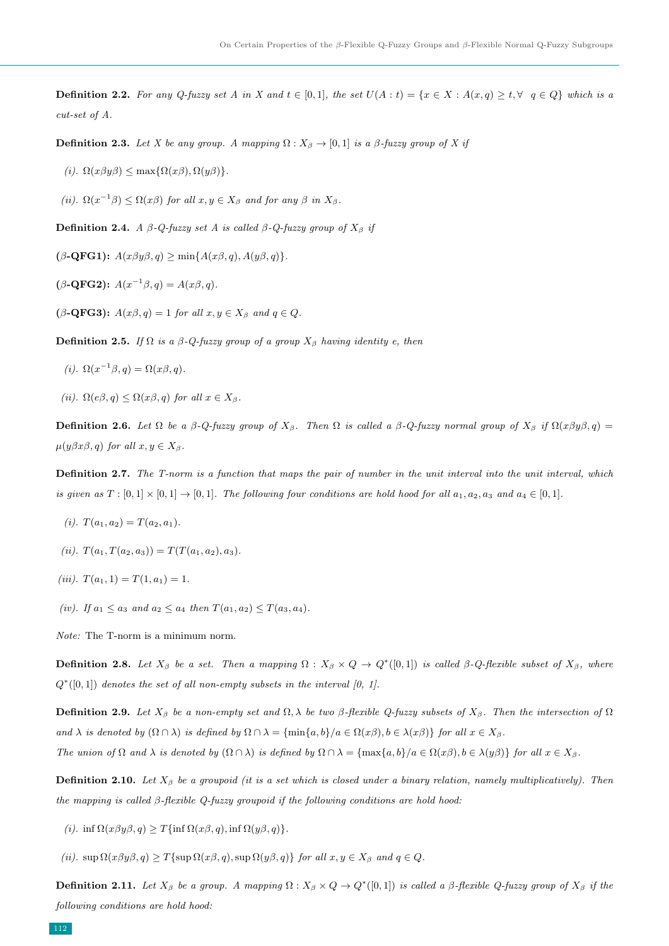**Definition 2.2.** For any Q-fuzzy set A in X and  $t \in [0,1]$ , the set  $U(A:t) = \{x \in X : A(x,q) \ge t, \forall q \in Q\}$  which is a cut-set of A.

**Definition 2.3.** Let X be any group. A mapping  $\Omega: X_{\beta} \to [0,1]$  is a  $\beta$ -fuzzy group of X if

(i).  $\Omega(x\beta y\beta) \leq \max\{\Omega(x\beta), \Omega(y\beta)\}.$ 

(ii).  $\Omega(x^{-1}\beta) \leq \Omega(x\beta)$  for all  $x, y \in X_{\beta}$  and for any  $\beta$  in  $X_{\beta}$ .

Definition 2.4. A  $\beta$ -Q-fuzzy set A is called  $\beta$ -Q-fuzzy group of  $X_{\beta}$  if

 $(\beta\text{-QFG1})$ :  $A(x\beta y\beta, q) \ge \min\{A(x\beta, q), A(y\beta, q)\}.$ 

 $(\beta$ -QFG2):  $A(x^{-1}\beta, q) = A(x\beta, q)$ .

 $(\beta$ -QFG3):  $A(x\beta, q) = 1$  for all  $x, y \in X_\beta$  and  $q \in Q$ .

Definition 2.5. If  $\Omega$  is a  $\beta$ -Q-fuzzy group of a group  $X_{\beta}$  having identity e, then

- (i).  $\Omega(x^{-1}\beta, q) = \Omega(x\beta, q)$ .
- (ii).  $\Omega(e\beta, q) \leq \Omega(x\beta, q)$  for all  $x \in X_{\beta}$ .

**Definition 2.6.** Let  $\Omega$  be a  $\beta$ -Q-fuzzy group of  $X_{\beta}$ . Then  $\Omega$  is called a  $\beta$ -Q-fuzzy normal group of  $X_{\beta}$  if  $\Omega(x\beta y\beta, q)$  =  $\mu(y\beta x\beta, q)$  for all  $x, y \in X_\beta$ .

Definition 2.7. The T-norm is a function that maps the pair of number in the unit interval into the unit interval, which is given as  $T : [0,1] \times [0,1] \rightarrow [0,1]$ . The following four conditions are hold hood for all  $a_1, a_2, a_3$  and  $a_4 \in [0,1]$ .

- (*i*).  $T(a_1, a_2) = T(a_2, a_1)$ .
- (ii).  $T(a_1, T(a_2, a_3)) = T(T(a_1, a_2), a_3)$ .
- (iii).  $T(a_1, 1) = T(1, a_1) = 1$ .
- (iv). If  $a_1 \le a_3$  and  $a_2 \le a_4$  then  $T(a_1, a_2) \le T(a_3, a_4)$ .

Note: The T-norm is a minimum norm.

**Definition 2.8.** Let  $X_{\beta}$  be a set. Then a mapping  $\Omega$  :  $X_{\beta} \times Q \to Q^*([0,1])$  is called  $\beta$ -Q-flexible subset of  $X_{\beta}$ , where  $Q^*([0,1])$  denotes the set of all non-empty subsets in the interval [0, 1].

**Definition 2.9.** Let  $X_{\beta}$  be a non-empty set and  $\Omega, \lambda$  be two β-flexible Q-fuzzy subsets of  $X_{\beta}$ . Then the intersection of  $\Omega$ and  $\lambda$  is denoted by  $(\Omega \cap \lambda)$  is defined by  $\Omega \cap \lambda = {\min\{a, b\}}/a \in \Omega(x\beta), b \in \lambda(x\beta)\}$  for all  $x \in X_{\beta}$ .

The union of  $\Omega$  and  $\lambda$  is denoted by  $(\Omega \cap \lambda)$  is defined by  $\Omega \cap \lambda = {\max\{a, b\}}/a \in \Omega(x\beta), b \in \lambda(y\beta)$  for all  $x \in X_{\beta}$ .

**Definition 2.10.** Let  $X_{\beta}$  be a groupoid (it is a set which is closed under a binary relation, namely multiplicatively). Then the mapping is called β-flexible Q-fuzzy groupoid if the following conditions are hold hood:

(i). inf  $\Omega(x\beta y\beta, q) \geq T\{\inf \Omega(x\beta, q), \inf \Omega(y\beta, q)\}.$ 

(ii).  $\sup \Omega(x\beta y\beta, q) \geq T\{\sup \Omega(x\beta, q), \sup \Omega(y\beta, q)\}\$  for all  $x, y \in X_\beta$  and  $q \in Q$ .

**Definition 2.11.** Let  $X_\beta$  be a group. A mapping  $\Omega: X_\beta \times Q \to Q^*([0,1])$  is called a  $\beta$ -flexible  $Q$ -fuzzy group of  $X_\beta$  if the following conditions are hold hood: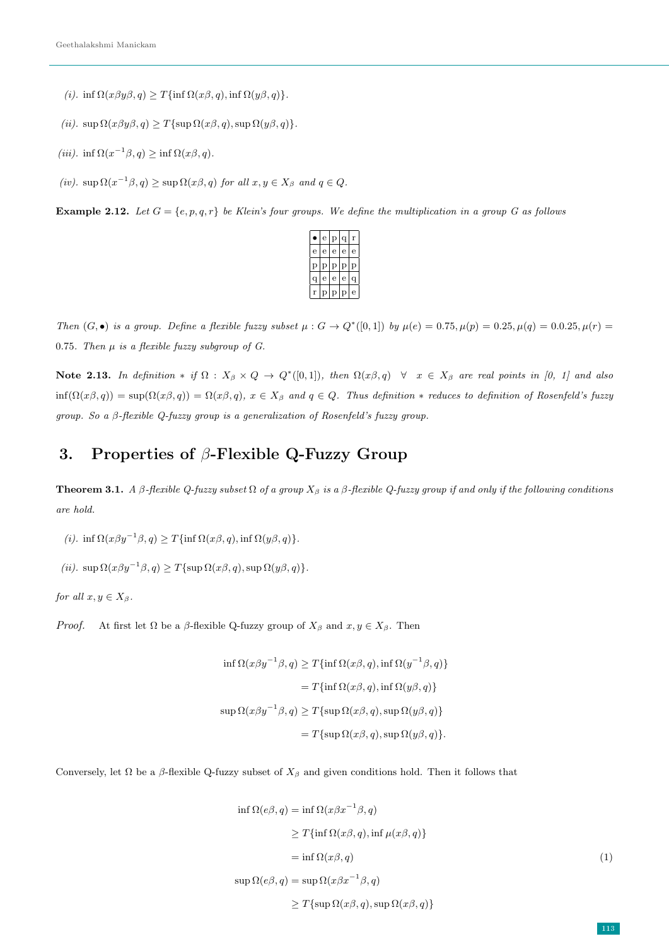- (i). inf  $\Omega(x\beta y\beta, q) \geq T\{\inf \Omega(x\beta, q), \inf \Omega(y\beta, q)\}.$
- (ii).  $\sup \Omega(x\beta y\beta, q) \geq T\{\sup \Omega(x\beta, q), \sup \Omega(y\beta, q)\}.$
- (iii). inf  $\Omega(x^{-1}\beta, q) \geq \inf \Omega(x\beta, q)$ .
- (iv).  $\sup \Omega(x^{-1}\beta, q) \geq \sup \Omega(x\beta, q)$  for all  $x, y \in X_\beta$  and  $q \in Q$ .

**Example 2.12.** Let  $G = \{e, p, q, r\}$  be Klein's four groups. We define the multiplication in a group G as follows



Then  $(G, \bullet)$  is a group. Define a flexible fuzzy subset  $\mu : G \to Q^*([0,1])$  by  $\mu(e) = 0.75, \mu(p) = 0.25, \mu(q) = 0.025, \mu(r) = 0.025$ 0.75. Then  $\mu$  is a flexible fuzzy subgroup of G.

Note 2.13. In definition \* if  $\Omega$  :  $X_{\beta} \times Q \to Q^*([0,1])$ , then  $\Omega(x\beta,q) \quad \forall x \in X_{\beta}$  are real points in [0, 1] and also  $inf(\Omega(x\beta,q)) = sup(\Omega(x\beta,q)) = \Omega(x\beta,q), x \in X_{\beta}$  and  $q \in Q$ . Thus definition \* reduces to definition of Rosenfeld's fuzzy group. So a β-flexible Q-fuzzy group is a generalization of Rosenfeld's fuzzy group.

### 3. Properties of  $\beta$ -Flexible Q-Fuzzy Group

**Theorem 3.1.** A β-flexible Q-fuzzy subset  $\Omega$  of a group  $X_{\beta}$  is a β-flexible Q-fuzzy group if and only if the following conditions are hold.

- (i). inf  $\Omega(x\beta y^{-1}\beta, q) \geq T\{\inf \Omega(x\beta, q), \inf \Omega(y\beta, q)\}.$
- (ii).  $\sup \Omega(x\beta y^{-1}\beta, q) \geq T\{\sup \Omega(x\beta, q), \sup \Omega(y\beta, q)\}.$

for all  $x, y \in X_{\beta}$ .

*Proof.* At first let  $\Omega$  be a  $\beta$ -flexible Q-fuzzy group of  $X_{\beta}$  and  $x, y \in X_{\beta}$ . Then

$$
\begin{aligned} \inf \Omega(x\beta y^{-1}\beta, q) &\ge T\{\inf \Omega(x\beta, q), \inf \Omega(y^{-1}\beta, q)\} \\ &= T\{\inf \Omega(x\beta, q), \inf \Omega(y\beta, q)\} \\ \sup \Omega(x\beta y^{-1}\beta, q) &\ge T\{\sup \Omega(x\beta, q), \sup \Omega(y\beta, q)\} \\ &= T\{\sup \Omega(x\beta, q), \sup \Omega(y\beta, q)\}. \end{aligned}
$$

Conversely, let  $\Omega$  be a  $\beta$ -flexible Q-fuzzy subset of  $X_{\beta}$  and given conditions hold. Then it follows that

$$
\inf \Omega(e\beta, q) = \inf \Omega(x\beta x^{-1}\beta, q)
$$
  
\n
$$
\geq T\{\inf \Omega(x\beta, q), \inf \mu(x\beta, q)\}
$$
  
\n
$$
= \inf \Omega(x\beta, q)
$$
  
\n
$$
\sup \Omega(e\beta, q) = \sup \Omega(x\beta x^{-1}\beta, q)
$$
  
\n
$$
\geq T\{\sup \Omega(x\beta, q), \sup \Omega(x\beta, q)\}
$$
\n(1)

<span id="page-2-0"></span>113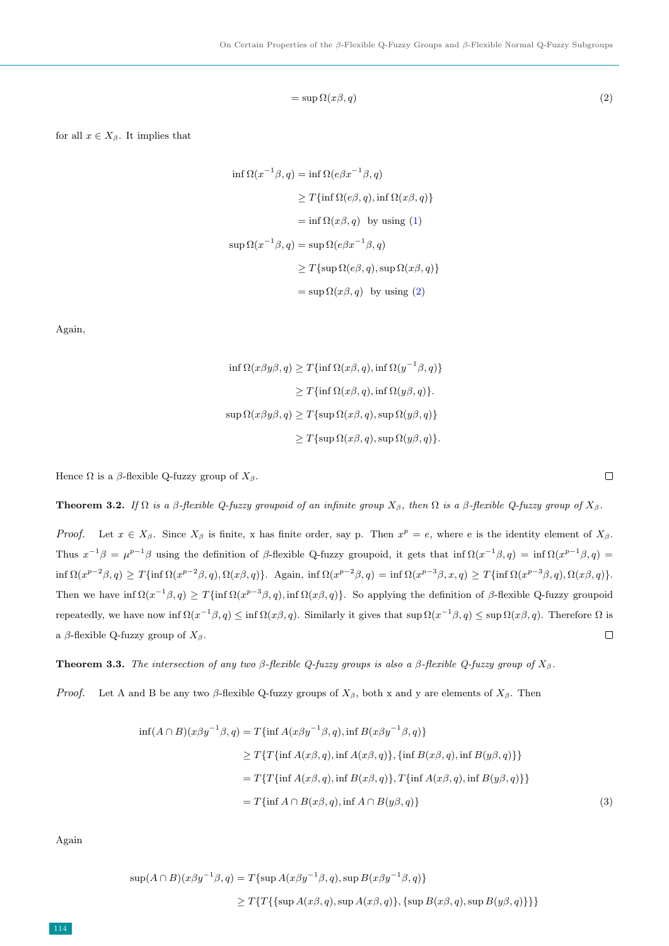<span id="page-3-0"></span>
$$
= \sup \Omega(x\beta, q) \tag{2}
$$

for all  $x \in X_\beta$ . It implies that

$$
\inf \Omega(x^{-1}\beta, q) = \inf \Omega(e\beta x^{-1}\beta, q)
$$
  
\n
$$
\geq T \{\inf \Omega(e\beta, q), \inf \Omega(x\beta, q)\}
$$
  
\n
$$
= \inf \Omega(x\beta, q) \text{ by using (1)}
$$
  
\n
$$
\sup \Omega(x^{-1}\beta, q) = \sup \Omega(e\beta x^{-1}\beta, q)
$$
  
\n
$$
\geq T \{\sup \Omega(e\beta, q), \sup \Omega(x\beta, q)\}
$$
  
\n
$$
= \sup \Omega(x\beta, q) \text{ by using (2)}
$$

Again,

$$
\begin{aligned} \inf \Omega(x \beta y \beta, q) &\geq T \{ \inf \Omega(x \beta, q), \inf \Omega(y^{-1} \beta, q) \} \\ &\geq T \{ \inf \Omega(x \beta, q), \inf \Omega(y \beta, q) \}. \end{aligned}
$$
\n
$$
\begin{aligned} \sup \Omega(x \beta y \beta, q) &\geq T \{ \sup \Omega(x \beta, q), \sup \Omega(y \beta, q) \} \\ &\geq T \{ \sup \Omega(x \beta, q), \sup \Omega(y \beta, q) \}. \end{aligned}
$$

Hence  $\Omega$  is a  $\beta$ -flexible Q-fuzzy group of  $X_{\beta}$ .

**Theorem 3.2.** If  $\Omega$  is a β-flexible Q-fuzzy groupoid of an infinite group  $X_{\beta}$ , then  $\Omega$  is a β-flexible Q-fuzzy group of  $X_{\beta}$ .

*Proof.* Let  $x \in X_\beta$ . Since  $X_\beta$  is finite, x has finite order, say p. Then  $x^p = e$ , where e is the identity element of  $X_\beta$ . Thus  $x^{-1}\beta = \mu^{p-1}\beta$  using the definition of  $\beta$ -flexible Q-fuzzy groupoid, it gets that inf  $\Omega(x^{-1}\beta, q) = \inf \Omega(x^{p-1}\beta, q)$  $\inf \Omega(x^{p-2}\beta,q) \geq T\{\inf \Omega(x^{p-2}\beta,q), \Omega(x\beta,q)\}\$ . Again,  $\inf \Omega(x^{p-2}\beta,q) = \inf \Omega(x^{p-3}\beta,x,q) \geq T\{\inf \Omega(x^{p-3}\beta,q), \Omega(x\beta,q)\}\$ . Then we have inf  $\Omega(x^{-1}\beta, q) \geq T\{\inf \Omega(x^{p-3}\beta, q), \inf \Omega(x\beta, q)\}.$  So applying the definition of  $\beta$ -flexible Q-fuzzy groupoid repeatedly, we have now inf  $\Omega(x^{-1}\beta, q) \leq \inf \Omega(x\beta, q)$ . Similarly it gives that  $\sup \Omega(x^{-1}\beta, q) \leq \sup \Omega(x\beta, q)$ . Therefore  $\Omega$  is  $\Box$ a β-flexible Q-fuzzy group of  $X_\beta$ .

**Theorem 3.3.** The intersection of any two β-flexible Q-fuzzy groups is also a β-flexible Q-fuzzy group of  $X_\beta$ .

*Proof.* Let A and B be any two β-flexible Q-fuzzy groups of  $X_\beta$ , both x and y are elements of  $X_\beta$ . Then

$$
\inf(A \cap B)(x\beta y^{-1}\beta, q) = T\{\inf A(x\beta y^{-1}\beta, q), \inf B(x\beta y^{-1}\beta, q)\}
$$
  
\n
$$
\geq T\{T\{\inf A(x\beta, q), \inf A(x\beta, q)\}, \{\inf B(x\beta, q), \inf B(y\beta, q)\}\}
$$
  
\n
$$
= T\{T\{\inf A(x\beta, q), \inf B(x\beta, q)\}, T\{\inf A(x\beta, q), \inf B(y\beta, q)\}\}
$$
  
\n
$$
= T\{\inf A \cap B(x\beta, q), \inf A \cap B(y\beta, q)\}
$$
\n(3)

Again

$$
\sup(A \cap B)(x\beta y^{-1}\beta, q) = T\{\sup A(x\beta y^{-1}\beta, q), \sup B(x\beta y^{-1}\beta, q)\}
$$
  
 
$$
\geq T\{T\{\{\sup A(x\beta, q), \sup A(x\beta, q)\}, \{\sup B(x\beta, q), \sup B(y\beta, q)\}\}\}
$$

<span id="page-3-1"></span> $\Box$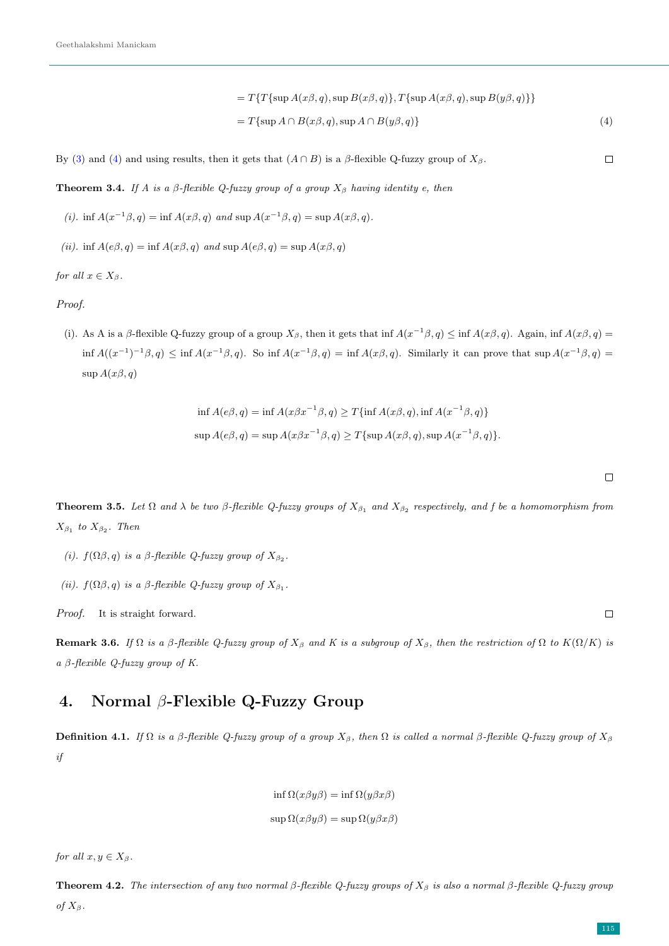$$
= T\{T\{\sup A(x\beta, q), \sup B(x\beta, q)\}, T\{\sup A(x\beta, q), \sup B(y\beta, q)\}\}\
$$
  

$$
= T\{\sup A \cap B(x\beta, q), \sup A \cap B(y\beta, q)\}\tag{4}
$$

By [\(3\)](#page-3-1) and [\(4\)](#page-4-0) and using results, then it gets that  $(A \cap B)$  is a  $\beta$ -flexible Q-fuzzy group of  $X_{\beta}$ .

**Theorem 3.4.** If A is a  $\beta$ -flexible Q-fuzzy group of a group  $X_{\beta}$  having identity e, then

- (i). inf  $A(x^{-1}\beta, q) = \inf A(x\beta, q)$  and  $\sup A(x^{-1}\beta, q) = \sup A(x\beta, q)$ .
- (ii). inf  $A(e\beta, q) = \inf A(x\beta, q)$  and  $\sup A(e\beta, q) = \sup A(x\beta, q)$

for all  $x \in X_{\beta}$ .

Proof.

(i). As A is a β-flexible Q-fuzzy group of a group  $X_{\beta}$ , then it gets that inf  $A(x^{-1}\beta, q) \leq \inf A(x\beta, q)$ . Again,  $\inf A(x\beta, q) =$  $\inf A((x^{-1})^{-1}\beta, q) \leq \inf A(x^{-1}\beta, q)$ . So  $\inf A(x^{-1}\beta, q) = \inf A(x\beta, q)$ . Similarly it can prove that  $\sup A(x^{-1}\beta, q) =$  $\sup A(x\beta, q)$ 

$$
\inf A(e\beta, q) = \inf A(x\beta x^{-1}\beta, q) \ge T\{\inf A(x\beta, q), \inf A(x^{-1}\beta, q)\}
$$
  

$$
\sup A(e\beta, q) = \sup A(x\beta x^{-1}\beta, q) \ge T\{\sup A(x\beta, q), \sup A(x^{-1}\beta, q)\}.
$$

**Theorem 3.5.** Let  $\Omega$  and  $\lambda$  be two  $\beta$ -flexible Q-fuzzy groups of  $X_{\beta_1}$  and  $X_{\beta_2}$  respectively, and f be a homomorphism from  $X_{\beta_1}$  to  $X_{\beta_2}$ . Then

- (i).  $f(\Omega\beta, q)$  is a  $\beta$ -flexible Q-fuzzy group of  $X_{\beta_2}$ .
- (ii).  $f(\Omega \beta, q)$  is a  $\beta$ -flexible Q-fuzzy group of  $X_{\beta_1}$ .

Proof. It is straight forward.

**Remark 3.6.** If  $\Omega$  is a β-flexible Q-fuzzy group of  $X_{\beta}$  and K is a subgroup of  $X_{\beta}$ , then the restriction of  $\Omega$  to  $K(\Omega/K)$  is a β-flexible Q-fuzzy group of K.

# 4. Normal β-Flexible Q-Fuzzy Group

Definition 4.1. If  $\Omega$  is a β-flexible Q-fuzzy group of a group  $X_{\beta}$ , then  $\Omega$  is called a normal β-flexible Q-fuzzy group of  $X_{\beta}$ if

$$
\inf \Omega(x\beta y\beta) = \inf \Omega(y\beta x\beta)
$$
  

$$
\sup \Omega(x\beta y\beta) = \sup \Omega(y\beta x\beta)
$$

for all  $x, y \in X_{\beta}$ .

**Theorem 4.2.** The intersection of any two normal β-flexible Q-fuzzy groups of  $X_\beta$  is also a normal β-flexible Q-fuzzy group of  $X_\beta$ .

<span id="page-4-0"></span> $\Box$ 

 $\Box$ 

 $\Box$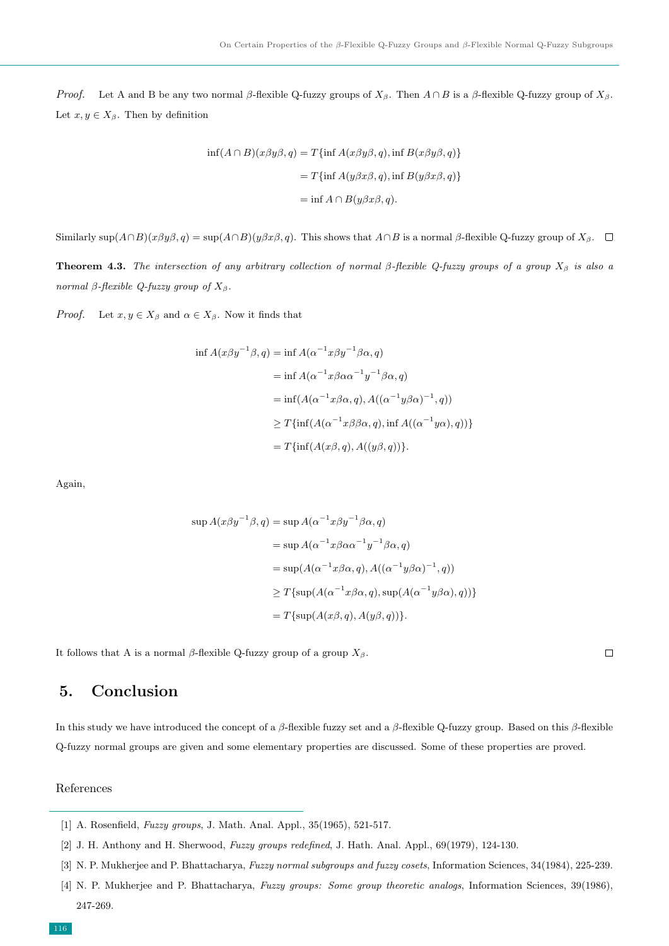*Proof.* Let A and B be any two normal β-flexible Q-fuzzy groups of  $X_\beta$ . Then  $A \cap B$  is a β-flexible Q-fuzzy group of  $X_\beta$ . Let  $x, y \in X_\beta$ . Then by definition

$$
\inf(A \cap B)(x\beta y\beta, q) = T\{\inf A(x\beta y\beta, q), \inf B(x\beta y\beta, q)\}
$$

$$
= T\{\inf A(y\beta x\beta, q), \inf B(y\beta x\beta, q)\}
$$

$$
= \inf A \cap B(y\beta x\beta, q).
$$

Similarly sup $(A \cap B)(x\beta y\beta, q) = \sup(A \cap B)(y\beta x\beta, q)$ . This shows that  $A \cap B$  is a normal  $\beta$ -flexible Q-fuzzy group of  $X_{\beta}$ .  $\Box$ 

**Theorem 4.3.** The intersection of any arbitrary collection of normal β-flexible Q-fuzzy groups of a group  $X_\beta$  is also a normal β-flexible Q-fuzzy group of  $X<sub>β</sub>$ .

*Proof.* Let  $x, y \in X_\beta$  and  $\alpha \in X_\beta$ . Now it finds that

$$
\inf A(x\beta y^{-1}\beta, q) = \inf A(\alpha^{-1}x\beta y^{-1}\beta\alpha, q)
$$
  
\n
$$
= \inf A(\alpha^{-1}x\beta\alpha\alpha^{-1}y^{-1}\beta\alpha, q)
$$
  
\n
$$
= \inf (A(\alpha^{-1}x\beta\alpha, q), A((\alpha^{-1}y\beta\alpha)^{-1}, q))
$$
  
\n
$$
\geq T\{\inf (A(\alpha^{-1}x\beta\beta\alpha, q), \inf A((\alpha^{-1}y\alpha), q))\}
$$
  
\n
$$
= T\{\inf (A(x\beta, q), A((y\beta, q))\}.
$$

Again,

$$
\sup A(x\beta y^{-1}\beta, q) = \sup A(\alpha^{-1}x\beta y^{-1}\beta\alpha, q)
$$
  
= 
$$
\sup A(\alpha^{-1}x\beta\alpha\alpha^{-1}y^{-1}\beta\alpha, q)
$$
  
= 
$$
\sup (A(\alpha^{-1}x\beta\alpha, q), A((\alpha^{-1}y\beta\alpha)^{-1}, q))
$$
  

$$
\geq T{\sup (A(\alpha^{-1}x\beta\alpha, q), \sup (A(\alpha^{-1}y\beta\alpha), q))}
$$
  
= 
$$
T{\sup (A(x\beta, q), A(y\beta, q))}.
$$

 $\Box$ 

It follows that A is a normal  $\beta$ -flexible Q-fuzzy group of a group  $X_{\beta}$ .

## 5. Conclusion

In this study we have introduced the concept of a  $\beta$ -flexible fuzzy set and a  $\beta$ -flexible Q-fuzzy group. Based on this  $\beta$ -flexible Q-fuzzy normal groups are given and some elementary properties are discussed. Some of these properties are proved.

#### References

- <span id="page-5-1"></span><span id="page-5-0"></span>[1] A. Rosenfield, *Fuzzy groups*, J. Math. Anal. Appl., 35(1965), 521-517.
- [2] J. H. Anthony and H. Sherwood, Fuzzy groups redefined, J. Hath. Anal. Appl., 69(1979), 124-130.
- <span id="page-5-2"></span>[3] N. P. Mukherjee and P. Bhattacharya, Fuzzy normal subgroups and fuzzy cosets, Information Sciences, 34(1984), 225-239.

<sup>[4]</sup> N. P. Mukherjee and P. Bhattacharya, Fuzzy groups: Some group theoretic analogs, Information Sciences, 39(1986), 247-269.